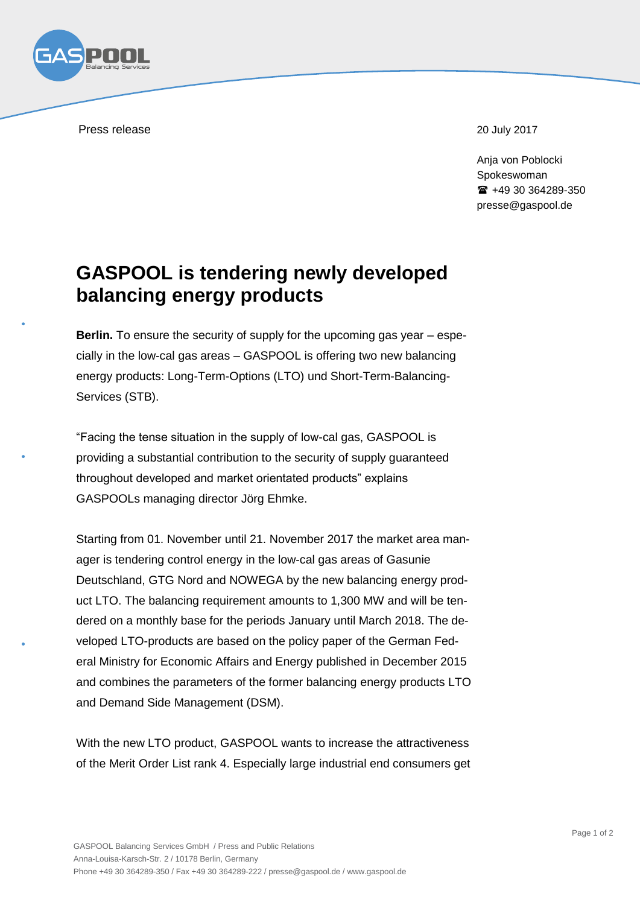

Press release 20 July 2017

Ania von Poblocki Spokeswoman  $\text{ }$  +49 30 364289-350 presse@gaspool.de

## **GASPOOL is tendering newly developed balancing energy products**

**Berlin.** To ensure the security of supply for the upcoming gas year – especially in the low-cal gas areas – GASPOOL is offering two new balancing energy products: Long-Term-Options (LTO) und Short-Term-Balancing-Services (STB).

"Facing the tense situation in the supply of low-cal gas, GASPOOL is providing a substantial contribution to the security of supply guaranteed throughout developed and market orientated products" explains GASPOOLs managing director Jörg Ehmke.

Starting from 01. November until 21. November 2017 the market area manager is tendering control energy in the low-cal gas areas of Gasunie Deutschland, GTG Nord and NOWEGA by the new balancing energy product LTO. The balancing requirement amounts to 1,300 MW and will be tendered on a monthly base for the periods January until March 2018. The developed LTO-products are based on the policy paper of the German Federal Ministry for Economic Affairs and Energy published in December 2015 and combines the parameters of the former balancing energy products LTO and Demand Side Management (DSM).

With the new LTO product, GASPOOL wants to increase the attractiveness of the Merit Order List rank 4. Especially large industrial end consumers get